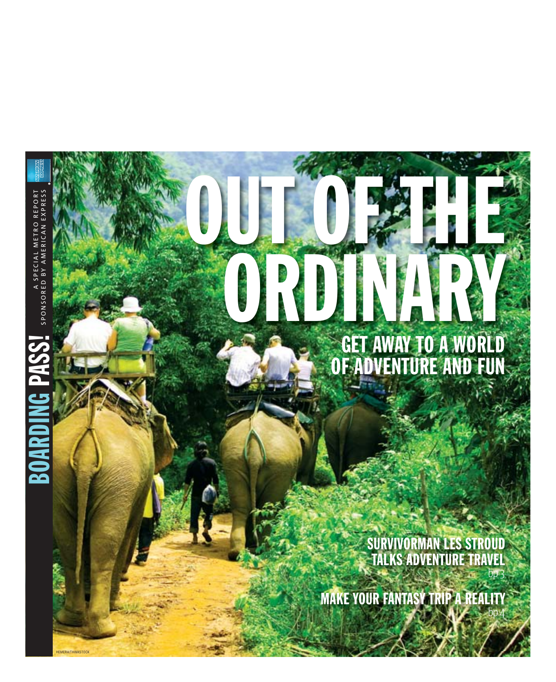# ORDINARY NATIONAL GET AWAY TO A WORLD OF ADVENTURE AND FUN

OUT OF THE

A SPECIAL METRO REPORT

SPONSORED BY AMERICAN EXPRESS

A SPECIAL METRO REPORT<br>SPONSORED BY AMERICAN EXPRESS

BOARDING PASS!

 $\sum_{i=1}^{n}$ 

**MERA/THINKSTOC** 

SURVIVORMAN LES STROUD TALKS ADVENTURE TRAVEL

**MAKE YOUR FANTASY TRIP A REALITY**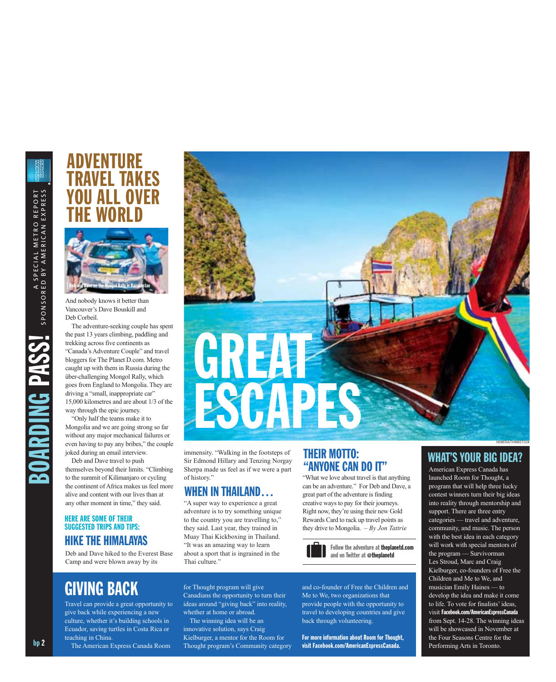# ADVENTURE **AVEL TAKES** II ALL OVFR THE WORLD



And nobody knows it better than Vancouver's Dave Bouskill and Deb Corbeil.

The adventure-seeking couple has spent the past 13 years climbing, paddling and trekking across five continents as "Canada's Adventure Couple" and travel bloggers for The Planet D.com. Metro caught up with them in Russia during the über-challenging Mongol Rally, which goes from England to Mongolia. They are driving a "small, inappropriate car" 15,000 kilometres and are about 1/3 of the way through the epic journey.

"Only half the teams make it to Mongolia and we are going strong so far without any major mechanical failures or even having to pay any bribes," the couple joked during an email interview.

Deb and Dave travel to push themselves beyond their limits. "Climbing to the summit of Kilimanjaro or cycling the continent of Africa makes us feel more alive and content with our lives than at any other moment in time," they said.

#### HERE ARE SOME OF THEIR SUGGESTED TRIPS AND TIPS: HIKE THE HIMALAYAS

Deb and Dave hiked to the Everest Base Camp and were blown away by its

immensity. "Walking in the footsteps of Sir Edmond Hillary and Tenzing Norgay Sherpa made us feel as if we were a part of history."

**GREAT** 

ESCAPES

#### WHEN IN THAILAND…

"A super way to experience a great adventure is to try something unique to the country you are travelling to," they said. Last year, they trained in Muay Thai Kickboxing in Thailand. "It was an amazing way to learn about a sport that is ingrained in the Thai culture."

#### THEIR MOTTO: "ANYONE CAN DO IT"

"What we love about travel is that anything can be an adventure." For Deb and Dave, a great part of the adventure is finding creative ways to pay for their journeys. Right now, they're using their new Gold Rewards Card to rack up travel points as they drive to Mongolia. *– By Jon Tattrie*



and co-founder of Free the Children and Me to We, two organizations that provide people with the opportunity to travel to developing countries and give back through volunteering.

For more information about Room for Thought, visit Facebook.com/AmericanExpressCanada.

#### WHAT'S YOUR BIG IDEA?

HEMERA/THINKSTOCK

American Express Canada has launched Room for Thought, a program that will help three lucky contest winners turn their big ideas into reality through mentorship and support. There are three entry categories — travel and adventure, community, and music. The person with the best idea in each category will work with special mentors of the program — Survivorman Les Stroud, Marc and Craig Kielburger, co-founders of Free the Children and Me to We, and musician Emily Haines — to develop the idea and make it come to life. To vote for finalists' ideas, visit Facebook.com/AmericanExpressCanada from Sept. 14-28. The winning ideas will be showcased in November at the Four Seasons Centre for the Performing Arts in Toronto.

GIVING BACK

Travel can provide a great opportunity to give back while experiencing a new culture, whether it's building schools in Ecuador, saving turtles in Costa Rica or teaching in China.

The American Express Canada Room

for Thought program will give Canadians the opportunity to turn their ideas around "giving back" into reality, whether at home or abroad. The winning idea will be an

innovative solution, says Craig Kielburger, a mentor for the Room for Thought program's Community category

bp 2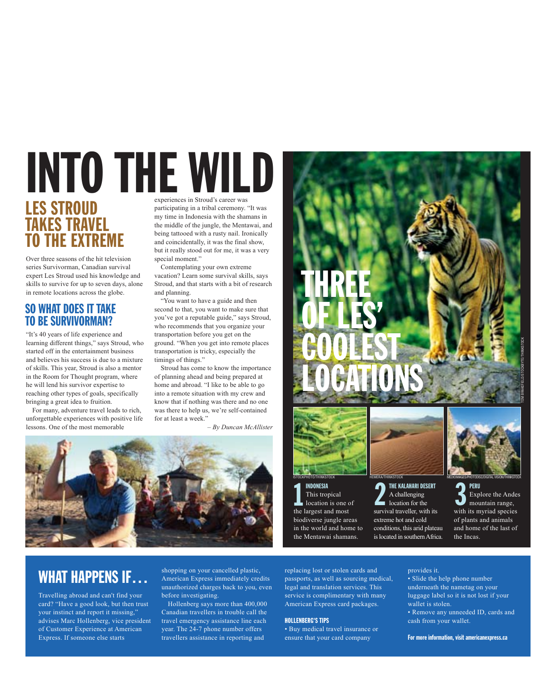# experiences in Stroud's career was participating in a tribal ceremony. "It was LES STROUD INTO THE WILD

# TAKES TRAVEL TO THE EXTREME

Over three seasons of the hit television series Survivorman, Canadian survival expert Les Stroud used his knowledge and skills to survive for up to seven days, alone in remote locations across the globe.

#### SO WHAT DOES IT TAKE TO BE SURVIVORMAN?

"It's 40 years of life experience and learning different things," says Stroud, who started off in the entertainment business and believes his success is due to a mixture of skills. This year, Stroud is also a mentor in the Room for Thought program, where he will lend his survivor expertise to reaching other types of goals, specifically bringing a great idea to fruition.

For many, adventure travel leads to rich, unforgettable experiences with positive life lessons. One of the most memorable

my time in Indonesia with the shamans in the middle of the jungle, the Mentawai, and being tattooed with a rusty nail. Ironically and coincidentally, it was the final show, but it really stood out for me, it was a very special moment."

Contemplating your own extreme vacation? Learn some survival skills, says Stroud, and that starts with a bit of research and planning.

"You want to have a guide and then second to that, you want to make sure that you've got a reputable guide," says Stroud, who recommends that you organize your transportation before you get on the ground. "When you get into remote places transportation is tricky, especially the timings of things."

Stroud has come to know the importance of planning ahead and being prepared at home and abroad. "I like to be able to go into a remote situation with my crew and know that if nothing was there and no one was there to help us, we're self-contained for at least a week."

*– By Duncan McAllister*





#### INDONESIA This tropical

location is one of the largest and most biodiverse jungle areas in the world and home to the Mentawai shamans.

THE KALAHARI DESERT A challenging location for the survival traveller, with its extreme hot and cold conditions, this arid plateau INDONESIA<br>
This tropical<br>
1 Decation is one of<br>
1 Decation for the<br>
1 Decation for the<br>
1 Decation for the<br>
1 Security and traveller, with its<br>
1 with<br>
with

is located in southern Africa.

PERU Explore the Andes mountain range, with its myriad species

of plants and animals and home of the last of the Incas.

# WHAT HAPPENS **IF...**

Travelling abroad and can't find your card? "Have a good look, but then trust your instinct and report it missing," advises Marc Hollenberg, vice president of Customer Experience at American Express. If someone else starts

shopping on your cancelled plastic, American Express immediately credits unauthorized charges back to you, even before investigating.

Hollenberg says more than 400,000 Canadian travellers in trouble call the travel emergency assistance line each year. The 24-7 phone number offers travellers assistance in reporting and

replacing lost or stolen cards and passports, as well as sourcing medical, legal and translation services. This service is complimentary with many American Express card packages.

#### HOLLENBERG'S TIPS

• Buy medical travel insurance or ensure that your card company

provides it.

- Slide the help phone number underneath the nametag on your luggage label so it is not lost if your wallet is stolen.
- Remove any unneeded ID, cards and cash from your wallet.

For more information, visit americanexpress.ca